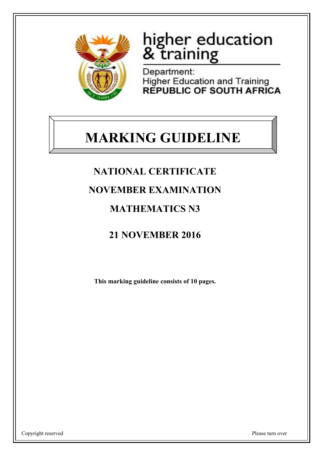

# higher education & training

Department: **Higher Education and Training** REPUBLIC OF SOUTH AFRICA

# **MARKING GUIDELINE**

## **NATIONAL CERTIFICATE**

### **NOVEMBER EXAMINATION**

### **MATHEMATICS N3**

## **21 NOVEMBER 2016**

**This marking guideline consists of 10 pages.**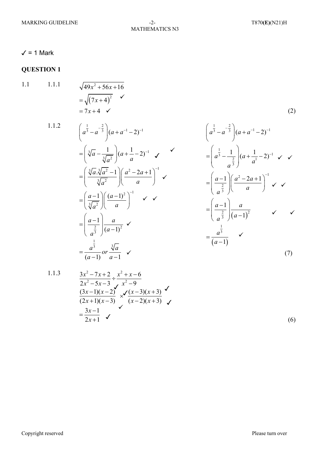#### $-2-$ **MATHEMATICS N3**

 $(2)$ 

#### $\checkmark$  = 1 Mark

#### **QUESTION 1**

 $1.1$  $1.1.1$ 

 $\sqrt{49x^2+56x+16}$ = $\sqrt{(7x+4)^2}$ <br>= 7x + 4  $\checkmark$  $\checkmark$ 

 $1.1.2$ 

$$
\left(a^{\frac{1}{3}} - a^{-\frac{2}{3}}\right)\left(a + a^{-1} - 2\right)^{-1}
$$
\n
$$
= \left(\sqrt[3]{a} - \frac{1}{\sqrt[3]{a^{2}}}\right)\left(a + \frac{1}{a} - 2\right)^{-1}
$$
\n
$$
= \left(\frac{\sqrt[3]{a} \cdot \sqrt[3]{a^{2}} - 1}{\sqrt[3]{a^{2}}}\right)\left(\frac{a^{2} - 2a + 1}{a}\right)^{-1}
$$
\n
$$
= \left(\frac{a - 1}{\sqrt[3]{a^{2}}}\right)\left(\frac{(a - 1)^{2}}{a}\right)^{-1}
$$
\n
$$
= \left(\frac{a - 1}{\frac{2}{a^{3}}}\right)\frac{a}{(a - 1)^{2}}
$$
\n
$$
= \frac{a^{\frac{1}{3}}}{(a - 1)} or \frac{\sqrt[3]{a}}{a - 1}
$$

 $\left(a^{\frac{1}{3}}-a^{-\frac{2}{3}}\right)(a+a^{-1}-2)^{-1}$  $=\left(a^{\frac{1}{3}}-\frac{1}{a^{\frac{2}{3}}}\right)(a+\frac{1}{a^{1}}-2)^{-1}$   $\checkmark$   $\checkmark$  $=\left(\frac{a-1}{a^{\frac{2}{3}}}\right)\left(\frac{a^2-2a+1}{a}\right)^{-1} \checkmark$  $=\left(\frac{a-1}{a^{\frac{2}{3}}}\right)\frac{a}{\left(a-1\right)^2} \qquad \checkmark \qquad \checkmark$  $=\frac{a^{\frac{1}{3}}}{(a-1)}$   $\checkmark$  $(7)$ 

 $1.1$ 

$$
\frac{3x^2 - 7x + 2}{2x^2 - 5x - 3} \div \frac{x^2 + x - 6}{x^2 - 9}
$$
\n
$$
\frac{(3x - 1)(x - 2)}{(2x + 1)(x - 3)} \times \frac{\sqrt{(x - 3)(x + 3)}}{(x - 2)(x + 3)} \times \frac{3x - 1}{2x + 1} \times \frac{3x - 1}{2x + 1} \times \frac{3x - 1}{2x + 1} \times \frac{3x - 1}{2x + 1} \times \frac{3x - 1}{2x + 1} \times \frac{3x - 1}{2x + 1} \times \frac{3x - 1}{2x + 1} \times \frac{3x - 1}{2x + 1} \times \frac{3x - 1}{2x + 1} \times \frac{3x - 1}{2x + 1} \times \frac{3x - 1}{2x + 1} \times \frac{3x - 1}{2x + 1} \times \frac{3x - 1}{2x + 1} \times \frac{3x - 1}{2x + 1} \times \frac{3x - 1}{2x + 1} \times \frac{3x - 1}{2x + 1} \times \frac{3x - 1}{2x + 1} \times \frac{3x - 1}{2x + 1} \times \frac{3x - 1}{2x + 1} \times \frac{3x - 1}{2x + 1} \times \frac{3x - 1}{2x + 1} \times \frac{3x - 1}{2x + 1} \times \frac{3x - 1}{2x + 1} \times \frac{3x - 1}{2x + 1} \times \frac{3x - 1}{2x + 1} \times \frac{3x - 1}{2x + 1} \times \frac{3x - 1}{2x + 1} \times \frac{3x - 1}{2x + 1} \times \frac{3x - 1}{2x + 1} \times \frac{3x - 1}{2x + 1} \times \frac{3x - 1}{2x + 1} \times \frac{3x - 1}{2x + 1} \times \frac{3x - 1}{2x + 1} \times \frac{3x - 1}{2x + 1} \times \frac{3x - 1}{2x + 1} \times \frac{3x - 1}{2x + 1} \times \frac{3x - 1}{2x + 1} \times \frac{3x - 1}{2x + 1} \times \frac{
$$

 $(6)$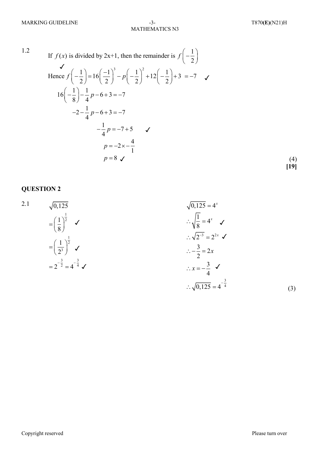1.2

If 
$$
f(x)
$$
 is divided by 2x+1, then the remainder is  $f\left(-\frac{1}{2}\right)$   
\n
$$
\checkmark
$$
\nHence  $f\left(-\frac{1}{2}\right) = 16\left(\frac{-1}{2}\right)^3 - p\left(-\frac{1}{2}\right)^2 + 12\left(-\frac{1}{2}\right) + 3 = -7$   
\n
$$
16\left(-\frac{1}{8}\right) - \frac{1}{4}p - 6 + 3 = -7
$$
  
\n
$$
-2 - \frac{1}{4}p - 6 + 3 = -7
$$
  
\n
$$
-\frac{1}{4}p = -7 + 5
$$
  
\n
$$
p = -2 \times -\frac{4}{1}
$$
  
\n
$$
p = 8 \checkmark
$$
\n(4)

**[19]**

#### **QUESTION 2**

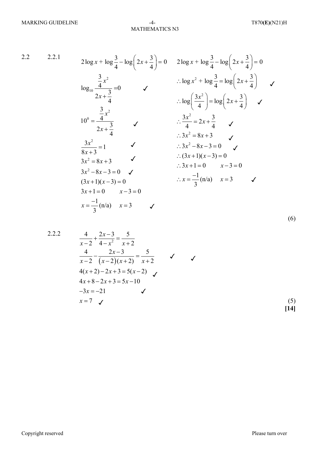(6)

2.2 2.2.1

$$
2\log x + \log \frac{3}{4} - \log \left(2x + \frac{3}{4}\right) = 0
$$
\n
$$
2\log x + \log \frac{3}{4} - \log \left(2x + \frac{3}{4}\right) = 0
$$
\n
$$
\log_{10} \frac{\frac{3}{4}x^2}{2x + \frac{3}{4}} = 0
$$
\n
$$
\therefore \log x^2 + \log \frac{3}{4} = \log \left(2x + \frac{3}{4}\right)
$$
\n
$$
\therefore \log \left(\frac{3x^2}{4}\right) = \log \left(2x + \frac{3}{4}\right)
$$
\n
$$
10^0 = \frac{\frac{3}{4}x^2}{2x + \frac{3}{4}}
$$
\n
$$
\therefore \frac{3x^2}{4} = 2x + \frac{3}{4}
$$
\n
$$
\therefore 3x^2 = 8x + 3
$$
\n
$$
\frac{3x^2}{8x + 3} = 1
$$
\n
$$
\therefore 3x^2 - 8x - 3 = 0
$$
\n
$$
3x^2 - 8x - 3 = 0
$$
\n
$$
3x^2 - 8x - 3 = 0
$$
\n
$$
3x + 1 = 0
$$
\n
$$
3x - 3 = 0
$$
\n
$$
3x + 1 = 0
$$
\n
$$
x - 3 = 0
$$
\n
$$
3x + 1 = 0
$$
\n
$$
x - 3 = 0
$$
\n
$$
x = \frac{-1}{3}(\ln a)
$$
\n
$$
x = 3
$$
\n
$$
x = \frac{-1}{3}(\ln a)
$$
\n
$$
x = 3
$$

2.2.2  
\n
$$
\frac{4}{x-2} + \frac{2x-3}{4-x^2} = \frac{5}{x+2}
$$
\n
$$
\frac{4}{x-2} - \frac{2x-3}{(x-2)(x+2)} = \frac{5}{x+2}
$$
\n
$$
4(x+2) - 2x + 3 = 5(x-2)
$$
\n
$$
4x+8-2x+3 = 5x-10
$$
\n
$$
-3x = -21
$$
\n
$$
x = 7
$$
\n(5)  
\n[14]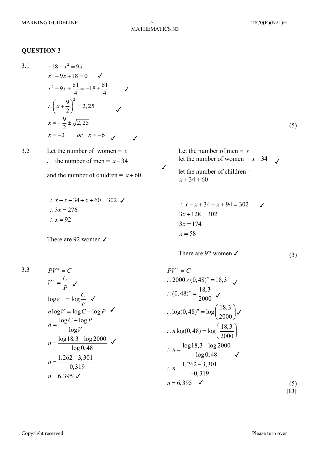#### **QUESTION 3**

3.1 (5) 3.2 Let the number of women =  $x$ ∴ the number of men =  $x-34$ and the number of children  $= x+60$ There are 92 women  $\checkmark$ Let the number of men  $= x$ let the number of women =  $x + 34$ let the number of children = There are 92 women  $\checkmark$  (3) 3.3 (5) **[13]**  $-18 - x^2 = 9x$  $x^2 + 9x + 18 = 0$   $\checkmark$  $x^2+9x+\frac{81}{4}=-18+\frac{81}{4}$  $\therefore \left(x + \frac{9}{2}\right)^2 = 2,25$ 4 4  $x = -\frac{9}{2} \pm \sqrt{2, 25}$  $x = -3$  or  $x = -6$  $x^2 + 9x + \frac{61}{4} = -18 + \frac{61}{4}$   $\checkmark$  $\therefore$   $x + x - 34 + x + 60 = 302$  $\therefore$  3x = 276  $\therefore$   $x = 92$  $x + 34 + 60$  $x = 58$  $3x = 174$  $3x + 128 = 302$  $\therefore$   $x + x + 34 + x + 94 = 302$  $PV^n = C$ *P*  $V^n = \frac{C}{R}$   $\checkmark$ *P*  $\log V^n = \log \frac{C}{R}$  <del>V</del>  $n \log V = \log C - \log P$ *V*  $n = \frac{\log C - \log P}{\sqrt{C}}$ log  $=\frac{\log C - \log C}{\log C}$  $log 18, 3 - log 2000$ log 0, 48  $1, 262 - 3, 301$ 0,319  $n = 6,395$   $\checkmark$  $n = \frac{\log 18, 3 - \log 2000}{1 - \log 10}$   $\checkmark$  $n = \frac{1,262 - 1,262 - 1}{-0,3}$  $PV^n = C$  $2000 \times (0, 48)^n = 18,3$ ∴  $(0, 48)^n = \frac{18,3}{2000}$  ✓  $\therefore \log(0, 48)^n = \log\left(\frac{18, 3}{2000}\right)$  $\therefore n \log(0, 48) = \log \left( \frac{18, 3}{2000} \right)$  $log18,3 - log2000$ log 0, 48  $1, 262 - 3, 301$ 0,319  $n = 6,395$   $\checkmark$  $\therefore n = \frac{\log 18.3 - \dots}{10}$  $\therefore n = \frac{1,262 - 1}{-0,3}$ ✓ ✓  $\overline{I}$ ✓ ✓ ✓ ✓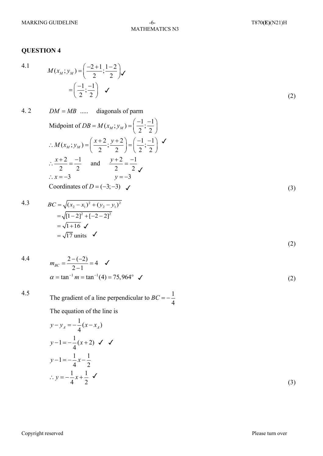#### **QUESTION 4**

4.1

$$
M(x_M; y_M) = \left(\frac{-2+1}{2}; \frac{1-2}{2}\right) \checkmark
$$
  
= 
$$
\left(\frac{-1}{2}; \frac{-1}{2}\right) \checkmark
$$
 (2)

4.2 
$$
DM = MB \dots \text{ diagonals of parm}
$$
  
\nMidpoint of  $DB = M(x_M; y_M) = \left(\frac{-1}{2}; \frac{-1}{2}\right)$   
\n
$$
\therefore M(x_M; y_M) = \left(\frac{x+2}{2}; \frac{y+2}{2}\right) = \left(\frac{-1}{2}; \frac{-1}{2}\right) \checkmark
$$
  
\n
$$
\therefore \frac{x+2}{2} = \frac{-1}{2} \text{ and } \frac{y+2}{2} = \frac{-1}{2} \checkmark
$$
  
\n
$$
\therefore x = -3 \qquad y = -3
$$
  
\nCoordinates of  $D = (-3; -3) \checkmark$  (3)

4.3 
$$
BC = \sqrt{(x_2 - x_1)^2 + (y_2 - y_1)^2}
$$

$$
= \sqrt{[1 - 2]^2 + [-2 - 2]^2}
$$

$$
= \sqrt{1 + 16} \checkmark
$$

$$
= \sqrt{17} \text{ units} \checkmark
$$

4.4 
$$
m_{BC} = \frac{2 - (-2)}{2 - 1} = 4
$$
   
\n $\alpha = \tan^{-1} m = \tan^{-1}(4) = 75,964^{\circ}$    
\n(2)

#### 4.5

The gradient of a line perpendicular to  $BC = -\frac{1}{4}$ 

The equation of the line is

$$
y-y_A = -\frac{1}{4}(x-x_A)
$$
  
\n
$$
y-1 = -\frac{1}{4}(x+2) \checkmark
$$
  
\n
$$
y-1 = -\frac{1}{4}x-\frac{1}{2}
$$
  
\n
$$
\therefore y = -\frac{1}{4}x+\frac{1}{2}\checkmark
$$
\n(3)

(2)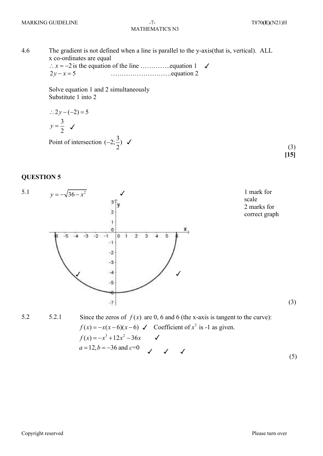**[15]**

4.6 The gradient is not defined when a line is parallel to the y-axis(that is, vertical). ALL x co-ordinates are equal is the equation of the line …………..equation 1 \*x* = -2 ……………………….equation 2  $2y - x = 5$ ✓

> Solve equation 1 and 2 simultaneously Substitute 1 into 2

$$
\therefore 2y - (-2) = 5
$$
  

$$
y = \frac{3}{2} \quad \checkmark
$$

Point of intersection  $(-2;\frac{3}{2})$   $\checkmark$  (3)

#### **QUESTION 5**



5.2 5.2.1 Since the zeros of  $f(x)$  are 0, 6 and 6 (the x-axis is tangent to the curve): (5)  $f(x) = -x(x-6)(x-6)$   $\checkmark$  Coefficient of  $x^3$  is -1 as given.  $f(x) = -x^3 + 12x^2 - 36x$   $\checkmark$  $a = 12, b = -36 \text{ and } c = 0$ 

Copyright reserved Please turn over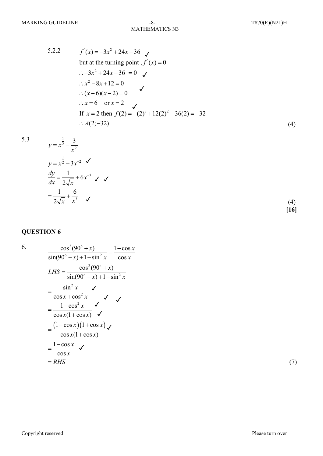5.2.2 
$$
f'(x) = -3x^2 + 24x - 36
$$
  
\nbut at the turning point,  $f'(x) = 0$   
\n $\therefore -3x^2 + 24x - 36 = 0$ 

5.3

$$
y = x^{\frac{1}{2}} - \frac{3}{x^2}
$$
  
\n
$$
y = x^{\frac{1}{2}} - 3x^{-2}
$$
  
\n
$$
\frac{dy}{dx} = \frac{1}{2\sqrt{x}} + 6x^{-3}
$$
  
\n
$$
= \frac{1}{2\sqrt{x}} + \frac{6}{x^3}
$$
 (4)

**QUESTION 6**

6.1  
\n
$$
\frac{\cos^2(90^\circ + x)}{\sin(90^\circ - x) + 1 - \sin^2 x} = \frac{1 - \cos x}{\cos x}
$$
\n
$$
LHS = \frac{\cos^2(90^\circ + x)}{\sin(90^\circ - x) + 1 - \sin^2 x}
$$
\n
$$
= \frac{\sin^2 x}{\cos x + \cos^2 x} \checkmark
$$
\n
$$
= \frac{1 - \cos^2 x}{\cos x (1 + \cos x)} \checkmark
$$
\n
$$
= \frac{(1 - \cos x)(1 + \cos x)}{\cos x (1 + \cos x)} \checkmark
$$
\n
$$
= \frac{1 - \cos x}{\cos x} \checkmark
$$
\n
$$
= RHS
$$

(7)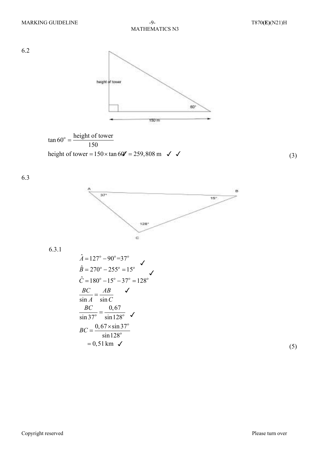6.2





 $(3)$ 

6.3



 $6.3.1$ 

$$
\hat{A} = 127^{\circ} - 90^{\circ} = 37^{\circ}
$$
\n
$$
\hat{B} = 270^{\circ} - 255^{\circ} = 15^{\circ}
$$
\n
$$
\hat{C} = 180^{\circ} - 15^{\circ} - 37^{\circ} = 128^{\circ}
$$
\n
$$
\frac{BC}{\sin A} = \frac{AB}{\sin C}
$$
\n
$$
\frac{BC}{\sin 37^{\circ}} = \frac{0,67}{\sin 128^{\circ}}
$$
\n
$$
BC = \frac{0,67 \times \sin 37^{\circ}}{\sin 128^{\circ}}
$$
\n
$$
= 0,51 \text{ km}
$$

 $(5)$